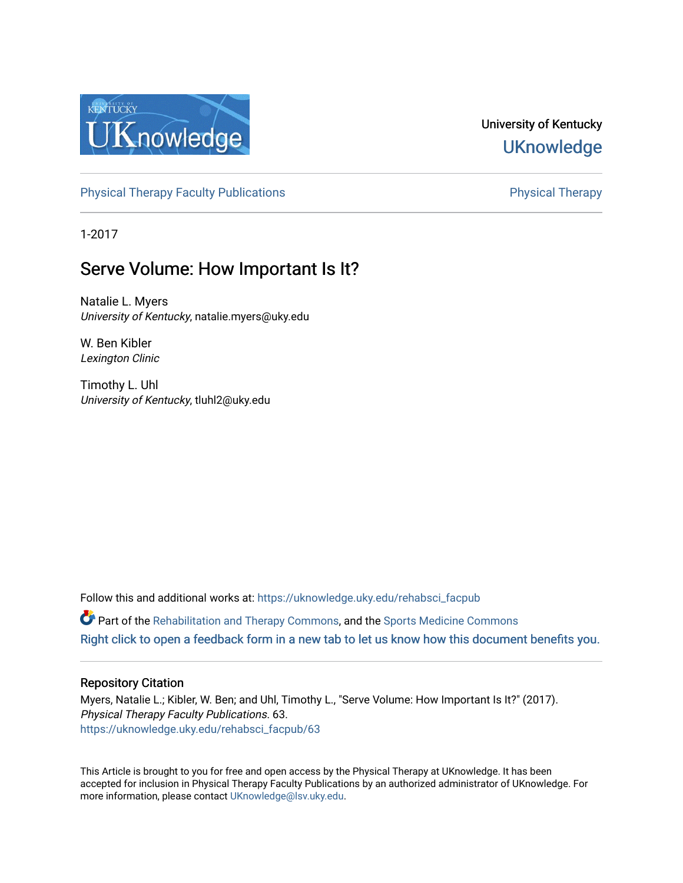

## University of Kentucky **UKnowledge**

[Physical Therapy Faculty Publications](https://uknowledge.uky.edu/rehabsci_facpub) **Physical Therapy** Physical Therapy

1-2017

# Serve Volume: How Important Is It?

Natalie L. Myers University of Kentucky, natalie.myers@uky.edu

W. Ben Kibler Lexington Clinic

Timothy L. Uhl University of Kentucky, tluhl2@uky.edu

Follow this and additional works at: [https://uknowledge.uky.edu/rehabsci\\_facpub](https://uknowledge.uky.edu/rehabsci_facpub?utm_source=uknowledge.uky.edu%2Frehabsci_facpub%2F63&utm_medium=PDF&utm_campaign=PDFCoverPages)   $\bullet$  Part of the [Rehabilitation and Therapy Commons,](http://network.bepress.com/hgg/discipline/749?utm_source=uknowledge.uky.edu%2Frehabsci_facpub%2F63&utm_medium=PDF&utm_campaign=PDFCoverPages) and the Sports Medicine Commons [Right click to open a feedback form in a new tab to let us know how this document benefits you.](https://uky.az1.qualtrics.com/jfe/form/SV_9mq8fx2GnONRfz7)

### Repository Citation

Myers, Natalie L.; Kibler, W. Ben; and Uhl, Timothy L., "Serve Volume: How Important Is It?" (2017). Physical Therapy Faculty Publications. 63. [https://uknowledge.uky.edu/rehabsci\\_facpub/63](https://uknowledge.uky.edu/rehabsci_facpub/63?utm_source=uknowledge.uky.edu%2Frehabsci_facpub%2F63&utm_medium=PDF&utm_campaign=PDFCoverPages)

This Article is brought to you for free and open access by the Physical Therapy at UKnowledge. It has been accepted for inclusion in Physical Therapy Faculty Publications by an authorized administrator of UKnowledge. For more information, please contact [UKnowledge@lsv.uky.edu](mailto:UKnowledge@lsv.uky.edu).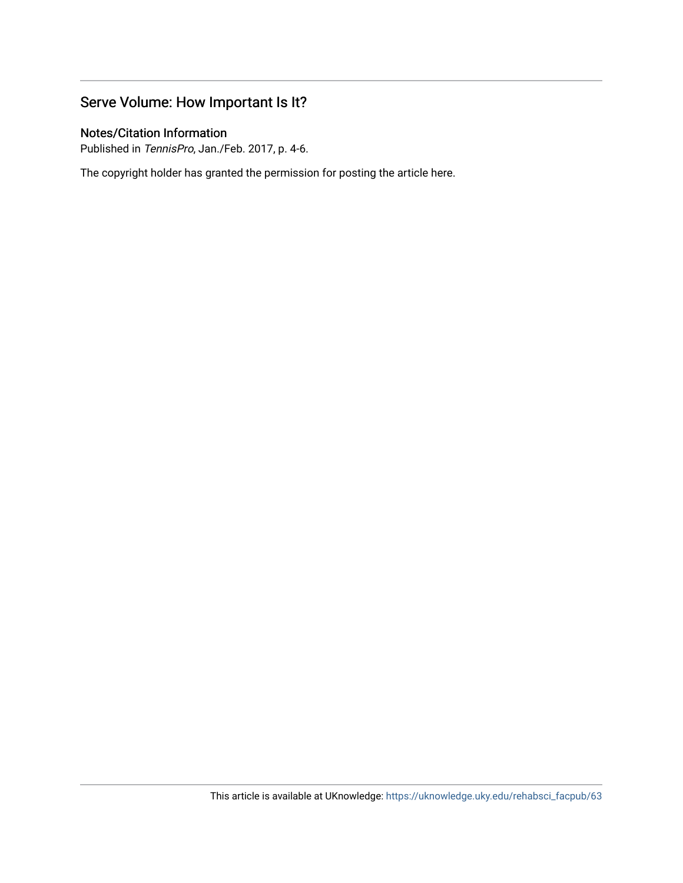## Serve Volume: How Important Is It?

## Notes/Citation Information

Published in TennisPro, Jan./Feb. 2017, p. 4-6.

The copyright holder has granted the permission for posting the article here.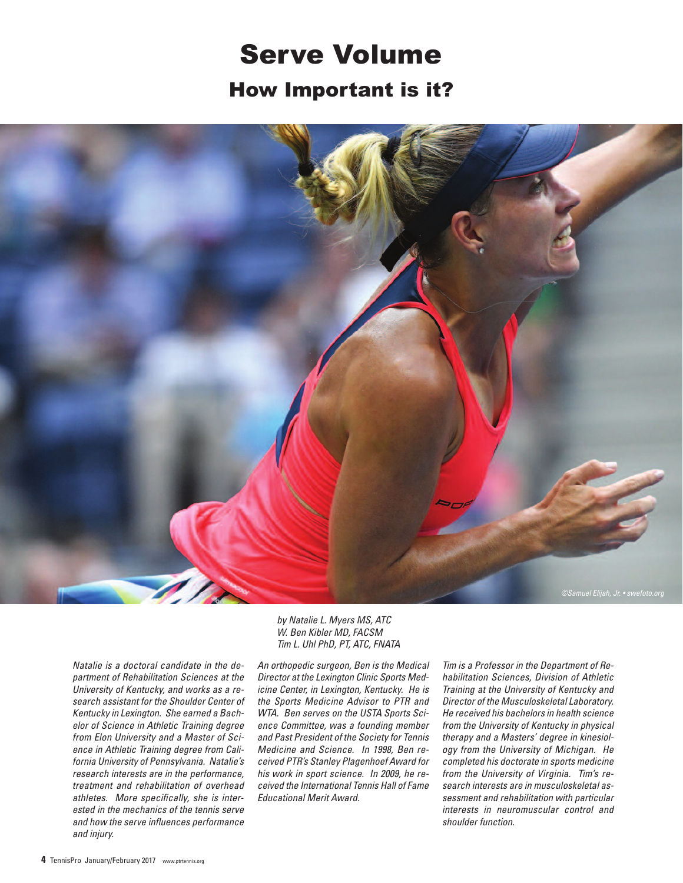# Serve Volume How Important is it?



*Natalie is a doctoral candidate in the department of Rehabilitation Sciences at the University of Kentucky, and works as a research assistant for the Shoulder Center of Kentucky in Lexington. She earned a Bachelor of Science in Athletic Training degree from Elon University and a Master of Science in Athletic Training degree from California University of Pennsylvania. Natalie's research interests are in the performance, treatment and rehabilitation of overhead athletes. More specifically, she is interested in the mechanics of the tennis serve and how the serve influences performance and injury.*

*by Natalie L. Myers MS, ATC W. Ben Kibler MD, FACSM Tim L. Uhl PhD, PT, ATC, FNATA*

*An orthopedic surgeon, Ben is the Medical Director at the Lexington Clinic Sports Medicine Center, in Lexington, Kentucky. He is the Sports Medicine Advisor to PTR and WTA. Ben serves on the USTA Sports Science Committee, was a founding member and Past President of the Society for Tennis Medicine and Science. In 1998, Ben received PTR's Stanley Plagenhoef Award for his work in sport science. In 2009, he received the International Tennis Hall of Fame Educational Merit Award.*

*Tim is a Professor in the Department of Rehabilitation Sciences, Division of Athletic Training at the University of Kentucky and Director of the Musculoskeletal Laboratory. He received his bachelors in health science from the University of Kentucky in physical therapy and a Masters' degree in kinesiology from the University of Michigan. He completed his doctorate in sports medicine from the University of Virginia. Tim's research interests are in musculoskeletal assessment and rehabilitation with particular interests in neuromuscular control and shoulder function.*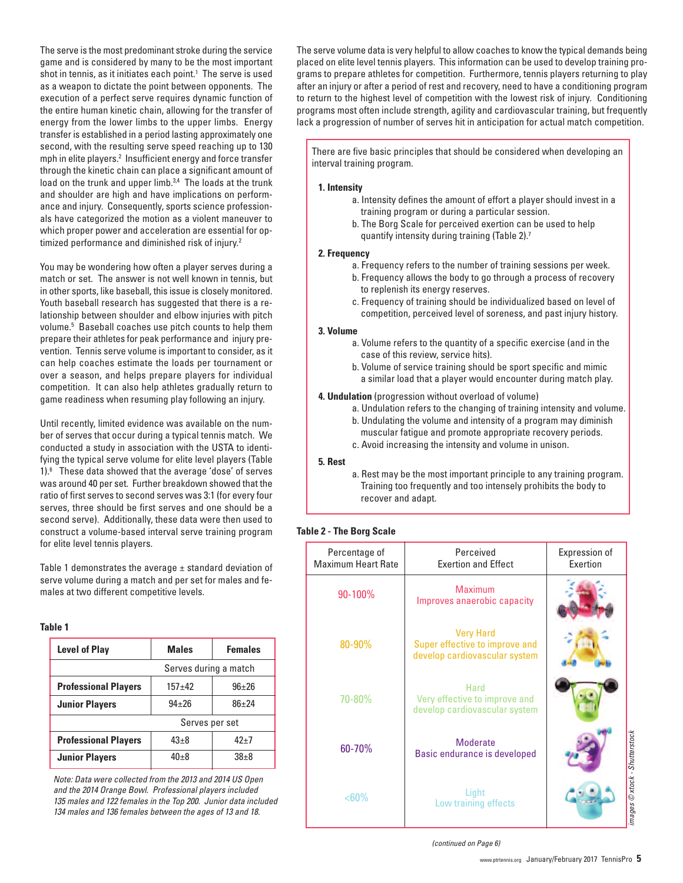The serve is the most predominant stroke during the service game and is considered by many to be the most important shot in tennis, as it initiates each point. <sup>1</sup> The serve is used as a weapon to dictate the point between opponents. The execution of a perfect serve requires dynamic function of the entire human kinetic chain, allowing for the transfer of energy from the lower limbs to the upper limbs. Energy transfer is established in a period lasting approximately one second, with the resulting serve speed reaching up to 130 mph in elite players. <sup>2</sup> Insufficient energy and force transfer through the kinetic chain can place a significant amount of load on the trunk and upper limb.<sup>3,4</sup> The loads at the trunk and shoulder are high and have implications on performance and injury. Consequently, sports science professionals have categorized the motion as a violent maneuver to which proper power and acceleration are essential for optimized performance and diminished risk of injury.<sup>2</sup>

You may be wondering how often a player serves during a match or set. The answer is not well known in tennis, but in other sports, like baseball, this issue is closely monitored. Youth baseball research has suggested that there is a relationship between shoulder and elbow injuries with pitch volume. <sup>5</sup> Baseball coaches use pitch counts to help them prepare their athletes for peak performance and injury prevention. Tennis serve volume is important to consider, as it can help coaches estimate the loads per tournament or over a season, and helps prepare players for individual competition. It can also help athletes gradually return to game readiness when resuming play following an injury.

Until recently, limited evidence was available on the number of serves that occur during a typical tennis match. We conducted a study in association with the USTA to identifying the typical serve volume for elite level players (Table 1). <sup>6</sup> These data showed that the average 'dose' of serves was around 40 per set. Further breakdown showed that the ratio of first serves to second serves was 3:1 (for every four serves, three should be first serves and one should be a second serve). Additionally, these data were then used to construct a volume-based interval serve training program for elite level tennis players.

Table 1 demonstrates the average  $\pm$  standard deviation of serve volume during a match and per set for males and females at two different competitive levels.

#### **Table 1**

| <b>Males</b>          | <b>Females</b> |
|-----------------------|----------------|
| Serves during a match |                |
| $157 + 42$            | $96 + 26$      |
| $94 + 26$             | $86 + 24$      |
| Serves per set        |                |
| $43 + 8$              | $42 + 7$       |
| $40 + 8$              | $38 + 8$       |
|                       |                |

*Note: Data were collected from the 2013 and 2014 US Open and the 2014 Orange Bowl. Professional players included 135 males and 122 females in the Top 200. Junior data included 134 males and 136 females between the ages of 13 and 18.*

The serve volume data is very helpful to allow coaches to know the typical demands being placed on elite level tennis players. This information can be used to develop training programs to prepare athletes for competition. Furthermore, tennis players returning to play after an injury or after a period of rest and recovery, need to have a conditioning program to return to the highest level of competition with the lowest risk of injury. Conditioning programs most often include strength, agility and cardiovascular training, but frequently lack a progression of number of serves hit in anticipation for actual match competition.

There are five basic principles that should be considered when developing an interval training program.

#### **1. Intensity**

- a. Intensity defines the amount of effort a player should invest in a training program or during a particular session.
- b. The Borg Scale for perceived exertion can be used to help quantify intensity during training (Table 2).<sup>7</sup>

#### **2. Frequency**

- a. Frequency refers to the number of training sessions per week.
- b. Frequency allows the body to go through a process of recovery to replenish its energy reserves.
- c. Frequency of training should be individualized based on level of competition, perceived level of soreness, and past injury history.

#### **3. Volume**

- a. Volume refers to the quantity of a specific exercise (and in the case of this review, service hits).
- b. Volume of service training should be sport specific and mimic a similar load that a player would encounter during match play.
- **4. Undulation** (progression without overload of volume)
	- a. Undulation refers to the changing of training intensity and volume.
	- b. Undulating the volume and intensity of a program may diminish muscular fatigue and promote appropriate recovery periods.
	- c. Avoid increasing the intensity and volume in unison.

#### **5. Rest**

a. Rest may be the most important principle to any training program. Training too frequently and too intensely prohibits the body to recover and adapt.

#### **Table 2 - The Borg Scale**

| Percentage of<br><b>Maximum Heart Rate</b> | Perceived<br><b>Exertion and Effect</b>                                             | Expression of<br>Exertion           |
|--------------------------------------------|-------------------------------------------------------------------------------------|-------------------------------------|
| 90-100%                                    | <b>Maximum</b><br>Improves anaerobic capacity                                       |                                     |
| 80-90%                                     | <b>Very Hard</b><br>Super effective to improve and<br>develop cardiovascular system |                                     |
| 70-80%                                     | Hard<br>Very effective to improve and<br>develop cardiovascular system              |                                     |
| 60-70%                                     | <b>Moderate</b><br>Basic endurance is developed                                     |                                     |
| $60%$                                      | Light<br>Low training effects                                                       | $image \otimes xlock - Shuterstock$ |